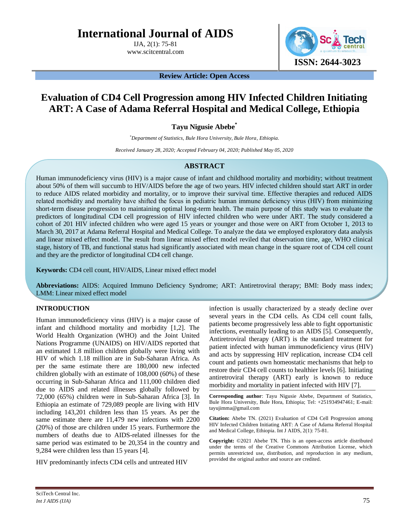**International Journal of AIDS**

IJA, 2(1): 75-81 www.scitcentral.com



**Review Article: Open Access**

# **Evaluation of CD4 Cell Progression among HIV Infected Children Initiating ART: A Case of Adama Referral Hospital and Medical College, Ethiopia**

**Tayu Nigusie Abebe\***

*\*Department of Statistics, Bule Hora University, Bule Hora, Ethiopia.*

*Received January 28, 2020; Accepted February 04, 2020; Published May 05, 2020*

# **ABSTRACT**

Human immunodeficiency virus (HIV) is a major cause of infant and childhood mortality and morbidity; without treatment about 50% of them will succumb to HIV/AIDS before the age of two years. HIV infected children should start ART in order to reduce AIDS related morbidity and mortality, or to improve their survival time. Effective therapies and reduced AIDS related morbidity and mortality have shifted the focus in pediatric human immune deficiency virus (HIV) from minimizing short-term disease progression to maintaining optimal long-term health. The main purpose of this study was to evaluate the predictors of longitudinal CD4 cell progression of HIV infected children who were under ART. The study considered a cohort of 201 HIV infected children who were aged 15 years or younger and those were on ART from October 1, 2013 to March 30, 2017 at Adama Referral Hospital and Medical College. To analyze the data we employed exploratory data analysis and linear mixed effect model. The result from linear mixed effect model reviled that observation time, age, WHO clinical stage, history of TB, and functional status had significantly associated with mean change in the square root of CD4 cell count and they are the predictor of longitudinal CD4 cell change.

**Keywords:** CD4 cell count, HIV/AIDS, Linear mixed effect model

**Abbreviations:** AIDS: Acquired Immuno Deficiency Syndrome; ART: Antiretroviral therapy; BMI: Body mass index; LMM: Linear mixed effect model

# **INTRODUCTION**

Human immunodeficiency virus (HIV) is a major cause of infant and childhood mortality and morbidity [1,2]. The World Health Organization (WHO) and the Joint United Nations Programme (UNAIDS) on HIV/AIDS reported that an estimated 1.8 million children globally were living with HIV of which 1.18 million are in Sub-Saharan Africa. As per the same estimate there are 180,000 new infected children globally with an estimate of 108,000 (60%) of these occurring in Sub-Saharan Africa and 111,000 children died due to AIDS and related illnesses globally followed by 72,000 (65%) children were in Sub-Saharan Africa [3]. In Ethiopia an estimate of 729,089 people are living with HIV including 143,201 children less than 15 years. As per the same estimate there are 11,479 new infections with 2200 (20%) of those are children under 15 years. Furthermore the numbers of deaths due to AIDS-related illnesses for the same period was estimated to be 20,354 in the country and 9,284 were children less than 15 years [4].

HIV predominantly infects CD4 cells and untreated HIV

infection is usually characterized by a steady decline over several years in the CD4 cells. As CD4 cell count falls, patients become progressively less able to fight opportunistic infections, eventually leading to an AIDS [5]. Consequently, Antiretroviral therapy (ART) is the standard treatment for patient infected with human immunodeficiency virus (HIV) and acts by suppressing HIV replication, increase CD4 cell count and patients own homeostatic mechanisms that help to restore their CD4 cell counts to healthier levels [6]. Initiating antiretroviral therapy (ART) early is known to reduce morbidity and mortality in patient infected with HIV [7].

**Corresponding author**: Tayu Nigusie Abebe, Department of Statistics, Bule Hora University, Bule Hora, Ethiopia; Tel: +251934947461; E-mail: tayujimma@gmail.com

**Citation:** Abebe TN. (2021) Evaluation of CD4 Cell Progression among HIV Infected Children Initiating ART: A Case of Adama Referral Hospital and Medical College, Ethiopia. Int J AIDS, 2(1): 75-81.

**Copyright:** ©2021 Abebe TN. This is an open-access article distributed under the terms of the Creative Commons Attribution License, which permits unrestricted use, distribution, and reproduction in any medium, provided the original author and source are credited.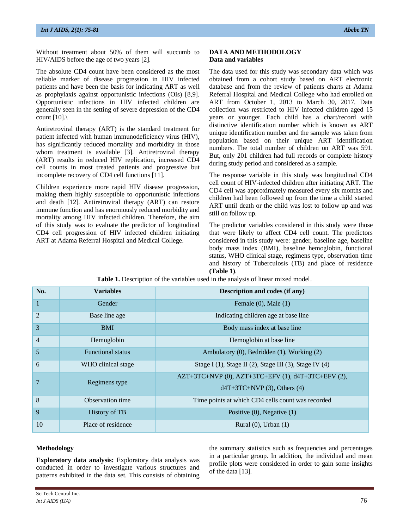Without treatment about 50% of them will succumb to HIV/AIDS before the age of two years [2].

The absolute CD4 count have been considered as the most reliable marker of disease progression in HIV infected patients and have been the basis for indicating ART as well as prophylaxis against opportunistic infections (OIs) [8,9]. Opportunistic infections in HIV infected children are generally seen in the setting of severe depression of the CD4 count  $[10]$ .

Antiretroviral therapy (ART) is the standard treatment for patient infected with human immunodeficiency virus (HIV), has significantly reduced mortality and morbidity in those whom treatment is available [3]. Antiretroviral therapy (ART) results in reduced HIV replication, increased CD4 cell counts in most treated patients and progressive but incomplete recovery of CD4 cell functions [11].

Children experience more rapid HIV disease progression, making them highly susceptible to opportunistic infections and death [12]. Antiretroviral therapy (ART) can restore immune function and has enormously reduced morbidity and mortality among HIV infected children. Therefore, the aim of this study was to evaluate the predictor of longitudinal CD4 cell progression of HIV infected children initiating ART at Adama Referral Hospital and Medical College.

#### **DATA AND METHODOLOGY Data and variables**

The data used for this study was secondary data which was obtained from a cohort study based on ART electronic database and from the review of patients charts at Adama Referral Hospital and Medical College who had enrolled on ART from October 1, 2013 to March 30, 2017. Data collection was restricted to HIV infected children aged 15 years or younger. Each child has a chart/record with distinctive identification number which is known as ART unique identification number and the sample was taken from population based on their unique ART identification numbers. The total number of children on ART was 591. But, only 201 children had full records or complete history during study period and considered as a sample.

The response variable in this study was longitudinal CD4 cell count of HIV-infected children after initiating ART. The CD4 cell was approximately measured every six months and children had been followed up from the time a child started ART until death or the child was lost to follow up and was still on follow up.

The predictor variables considered in this study were those that were likely to affect CD4 cell count. The predictors considered in this study were: gender, baseline age, baseline body mass index (BMI), baseline hemoglobin, functional status, WHO clinical stage, regimens type, observation time and history of Tuberculosis (TB) and place of residence **(Table 1)**.

| No.            | <b>Variables</b>         | Description and codes (if any)                                                            |  |  |  |
|----------------|--------------------------|-------------------------------------------------------------------------------------------|--|--|--|
| $\mathbf{1}$   | Gender                   | Female $(0)$ , Male $(1)$                                                                 |  |  |  |
| $\overline{2}$ | Base line age            | Indicating children age at base line                                                      |  |  |  |
| 3              | <b>BMI</b>               | Body mass index at base line                                                              |  |  |  |
| $\overline{4}$ | Hemoglobin               | Hemoglobin at base line                                                                   |  |  |  |
| 5              | <b>Functional status</b> | Ambulatory (0), Bedridden (1), Working (2)                                                |  |  |  |
| 6              | WHO clinical stage       | Stage I $(1)$ , Stage II $(2)$ , Stage III $(3)$ , Stage IV $(4)$                         |  |  |  |
|                | Regimens type            | $AZT+3TC+NVP$ (0), $AZT+3TC+EFV$ (1), $d4T+3TC+EFV$ (2),<br>$d4T+3TC+NVP$ (3), Others (4) |  |  |  |
| 8              | Observation time         | Time points at which CD4 cells count was recorded                                         |  |  |  |
| 9              | History of TB            | Positive $(0)$ , Negative $(1)$                                                           |  |  |  |
| 10             | Place of residence       | Rural $(0)$ , Urban $(1)$                                                                 |  |  |  |

**Table 1.** Description of the variables used in the analysis of linear mixed model.

### **Methodology**

**Exploratory data analysis:** Exploratory data analysis was conducted in order to investigate various structures and patterns exhibited in the data set. This consists of obtaining

the summary statistics such as frequencies and percentages in a particular group. In addition, the individual and mean profile plots were considered in order to gain some insights of the data [13].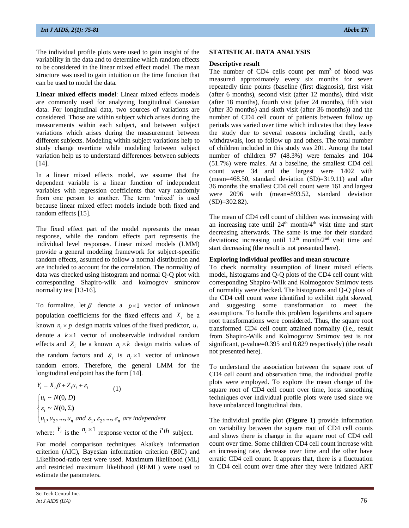The individual profile plots were used to gain insight of the variability in the data and to determine which random effects to be considered in the linear mixed effect model. The mean structure was used to gain intuition on the time function that can be used to model the data.

**Linear mixed effects model**: Linear mixed effects models are commonly used for analyzing longitudinal Gaussian data. For longitudinal data, two sources of variations are considered. Those are within subject which arises during the measurements within each subject, and between subject variations which arises during the measurement between different subjects. Modeling within subject variations help to study change overtime while modeling between subject variation help us to understand differences between subjects [14].

In a linear mixed effects model, we assume that the dependent variable is a linear function of independent variables with regression coefficients that vary randomly from one person to another. The term 'mixed' is used because linear mixed effect models include both fixed and random effects [15].

The fixed effect part of the model represents the mean response, while the random effects part represents the individual level responses. Linear mixed models (LMM) provide a general modeling framework for subject-specific random effects, assumed to follow a normal distribution and are included to account for the correlation. The normality of data was checked using histogram and normal Q-Q plot with corresponding Shapiro-wilk and kolmogrov sminorov normality test [13-16].

To formalize, let  $\beta$  denote a  $p \times 1$  vector of unknown population coefficients for the fixed effects and  $X_i$  be a known  $n_i \times p$  design matrix values of the fixed predictor,  $u_i$ denote a  $k \times 1$  vector of unobservable individual random effects and  $Z_i$  be a known  $n_i \times k$  design matrix values of the random factors and  $\varepsilon_i$  is  $n_i \times 1$  vector of unknown random errors. Therefore, the general LMM for the longitudinal endpoint has the form [14].

$$
Y_i = X_i \beta + Z_i u_i + \varepsilon_i
$$
 (1)  
\n
$$
\begin{cases}\n u_i \sim N(0, D) \\
\varepsilon_i \sim N(0, \Sigma) \\
u_1, u_2, ..., u_n \text{ and } \varepsilon_1, \varepsilon_2, ..., \varepsilon_n \text{ are independent} \\
\text{where:} \quad Y_i \text{ is the } \quad n_i \times 1 \\
\text{response vector of the } i^t th \text{ subject.}\n\end{cases}
$$

For model comparison techniques Akaike's information criterion (AIC), Bayesian information criterion (BIC) and Likelihood-ratio test were used. Maximum likelihood (ML) and restricted maximum likelihood (REML) were used to estimate the parameters.

#### **STATISTICAL DATA ANALYSIS**

#### **Descriptive result**

The number of  $CD4$  cells count per  $mm<sup>3</sup>$  of blood was measured approximately every six months for seven repeatedly time points (baseline (first diagnosis), first visit (after 6 months), second visit (after 12 months), third visit (after 18 months), fourth visit (after 24 months), fifth visit (after 30 months) and sixth visit (after 36 months)) and the number of CD4 cell count of patients between follow up periods was varied over time which indicates that they leave the study due to several reasons including death, early withdrawals, lost to follow up and others. The total number of children included in this study was 201. Among the total number of children 97 (48.3%) were females and 104 (51.7%) were males. At a baseline, the smallest CD4 cell count were 34 and the largest were 1402 with (mean=468.50, standard deviation (SD)=319.11) and after 36 months the smallest CD4 cell count were 161 and largest were 2096 with (mean=893.52, standard deviation  $(SD)=302.82$ ).

The mean of CD4 cell count of children was increasing with an increasing rate until  $24<sup>th</sup>$  month/ $4<sup>th</sup>$  visit time and start decreasing afterwards. The same is true for their standard deviations; increasing until 12<sup>th</sup> month/2<sup>nd</sup> visit time and start decreasing (the result is not presented here).

#### **Exploring individual profiles and mean structure**

To check normality assumption of linear mixed effects model, histograms and Q-Q plots of the CD4 cell count with corresponding Shapiro-Wilk and Kolmogorov Smirnov tests of normality were checked. The histograms and Q-Q plots of the CD4 cell count were identified to exhibit right skewed, and suggesting some transformation to meet the assumptions. To handle this problem logarithms and square root transformations were considered. Thus, the square root transformed CD4 cell count attained normality (i.e., result from Shapiro-Wilk and Kolmogorov Smirnov test is not significant, p-value=0.395 and 0.829 respectively) (the result not presented here).

To understand the association between the square root of CD4 cell count and observation time, the individual profile plots were employed. To explore the mean change of the square root of CD4 cell count over time, loess smoothing techniques over individual profile plots were used since we have unbalanced longitudinal data.

The individual profile plot **(Figure 1)** provide information on variability between the square root of CD4 cell counts and shows there is change in the square root of CD4 cell count over time. Some children CD4 cell count increase with an increasing rate, decrease over time and the other have erratic CD4 cell count. It appears that, there is a fluctuation in CD4 cell count over time after they were initiated ART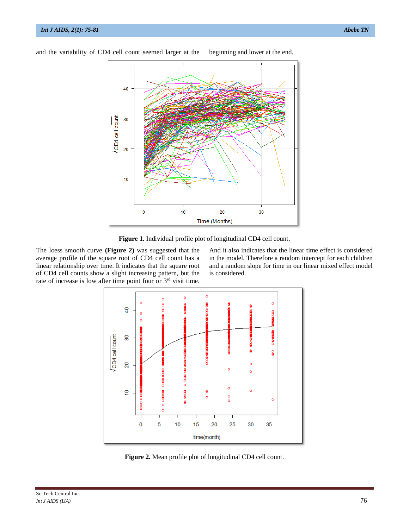

and the variability of CD4 cell count seemed larger at the beginning and lower at the end.

**Figure 1.** Individual profile plot of longitudinal CD4 cell count.

The loess smooth curve **(Figure 2)** was suggested that the average profile of the square root of CD4 cell count has a linear relationship over time. It indicates that the square root of CD4 cell counts show a slight increasing pattern, but the rate of increase is low after time point four or 3<sup>rd</sup> visit time.

And it also indicates that the linear time effect is considered in the model. Therefore a random intercept for each children and a random slope for time in our linear mixed effect model is considered.



**Figure 2.** Mean profile plot of longitudinal CD4 cell count.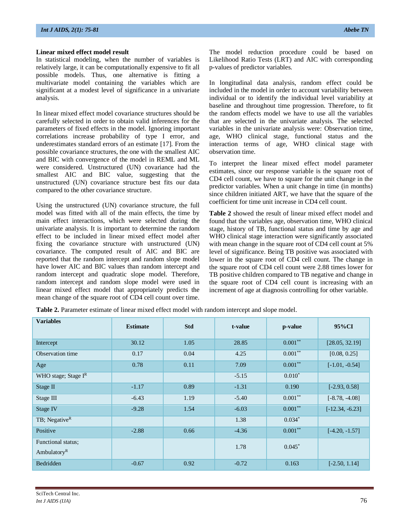### **Linear mixed effect model result**

In statistical modeling, when the number of variables is relatively large, it can be computationally expensive to fit all possible models. Thus, one alternative is fitting a multivariate model containing the variables which are significant at a modest level of significance in a univariate analysis.

In linear mixed effect model covariance structures should be carefully selected in order to obtain valid inferences for the parameters of fixed effects in the model. Ignoring important correlations increase probability of type I error, and underestimates standard errors of an estimate [17]. From the possible covariance structures, the one with the smallest AIC and BIC with convergence of the model in REML and ML were considered. Unstructured (UN) covariance had the smallest AIC and BIC value, suggesting that the unstructured (UN) covariance structure best fits our data compared to the other covariance structure.

Using the unstructured (UN) covariance structure, the full model was fitted with all of the main effects, the time by main effect interactions, which were selected during the univariate analysis. It is important to determine the random effect to be included in linear mixed effect model after fixing the covariance structure with unstructured (UN) covariance. The computed result of AIC and BIC are reported that the random intercept and random slope model have lower AIC and BIC values than random intercept and random intercept and quadratic slope model. Therefore, random intercept and random slope model were used in linear mixed effect model that appropriately predicts the mean change of the square root of CD4 cell count over time.

The model reduction procedure could be based on Likelihood Ratio Tests (LRT) and AIC with corresponding p-values of predictor variables.

In longitudinal data analysis, random effect could be included in the model in order to account variability between individual or to identify the individual level variability at baseline and throughout time progression. Therefore, to fit the random effects model we have to use all the variables that are selected in the univariate analysis. The selected variables in the univariate analysis were: Observation time, age, WHO clinical stage, functional status and the interaction terms of age, WHO clinical stage with observation time.

To interpret the linear mixed effect model parameter estimates, since our response variable is the square root of CD4 cell count, we have to square for the unit change in the predictor variables. When a unit change in time (in months) since children initiated ART, we have that the square of the coefficient for time unit increase in CD4 cell count.

**Table 2** showed the result of linear mixed effect model and found that the variables age, observation time, WHO clinical stage, history of TB, functional status and time by age and WHO clinical stage interaction were significantly associated with mean change in the square root of CD4 cell count at 5% level of significance. Being TB positive was associated with lower in the square root of CD4 cell count. The change in the square root of CD4 cell count were 2.88 times lower for TB positive children compared to TB negative and change in the square root of CD4 cell count is increasing with an increment of age at diagnosis controlling for other variable.

| <b>Table 2.</b> Parameter estimate of linear mixed effect model with random intercept and slope model. |  |
|--------------------------------------------------------------------------------------------------------|--|
|--------------------------------------------------------------------------------------------------------|--|

| <b>Variables</b>                     | <b>Estimate</b> | <b>Std</b> | t-value | p-value    | 95%CI             |
|--------------------------------------|-----------------|------------|---------|------------|-------------------|
| Intercept                            | 30.12           | 1.05       | 28.85   | $0.001***$ | [28.05, 32.19]    |
| Observation time                     | 0.17            | 0.04       | 4.25    | $0.001***$ | [0.08, 0.25]      |
| Age                                  | 0.78            | 0.11       | 7.09    | $0.001***$ | $[-1.01, -0.54]$  |
| WHO stage; Stage IR                  |                 |            | $-5.15$ | $0.010*$   |                   |
| Stage II                             | $-1.17$         | 0.89       | $-1.31$ | 0.190      | $[-2.93, 0.58]$   |
| Stage III                            | $-6.43$         | 1.19       | $-5.40$ | $0.001**$  | $[-8.78, -4.08]$  |
| Stage IV                             | $-9.28$         | 1.54       | $-6.03$ | $0.001**$  | $[-12.34, -6.23]$ |
| TB; Negative <sup>R</sup>            |                 |            | 1.38    | $0.034*$   |                   |
| Positive                             | $-2.88$         | 0.66       | $-4.36$ | $0.001***$ | $[-4.20, -1.57]$  |
| Functional status;<br>Ambulatory $R$ |                 |            | 1.78    | $0.045*$   |                   |
| Bedridden                            | $-0.67$         | 0.92       | $-0.72$ | 0.163      | $[-2.50, 1.14]$   |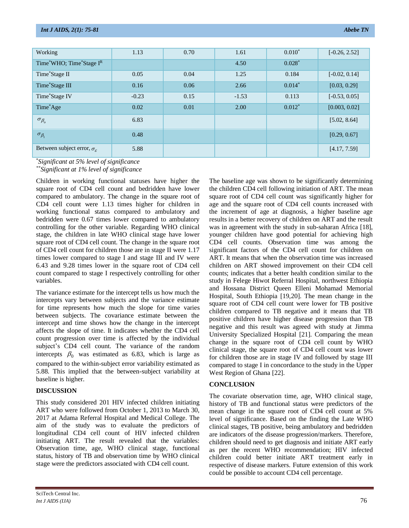| Working                                       | 1.13    | 0.70 | 1.61    | $0.010*$ | $[-0.26, 2.52]$ |
|-----------------------------------------------|---------|------|---------|----------|-----------------|
| Time*WHO; Time*Stage IR                       |         |      | 4.50    | $0.028*$ |                 |
| Time*Stage II                                 | 0.05    | 0.04 | 1.25    | 0.184    | $[-0.02, 0.14]$ |
| Time*Stage III                                | 0.16    | 0.06 | 2.66    | $0.014*$ | [0.03, 0.29]    |
| Time*Stage IV                                 | $-0.23$ | 0.15 | $-1.53$ | 0.113    | $[-0.53, 0.05]$ |
| Time*Age                                      | 0.02    | 0.01 | 2.00    | $0.012*$ | [0.003, 0.02]   |
| $\sigma_{\beta_o}$                            | 6.83    |      |         |          | [5.02, 8.64]    |
| $\sigma_{\beta_{\rm l}}$                      | 0.48    |      |         |          | [0.29, 0.67]    |
| Between subject error, $\sigma_{\varepsilon}$ | 5.88    |      |         |          | [4.17, 7.59]    |

\**Significant at 5% level of significance*

*\*\*Significant at 1% level of significance*

Children in working functional statuses have higher the square root of CD4 cell count and bedridden have lower compared to ambulatory. The change in the square root of CD4 cell count were 1.13 times higher for children in working functional status compared to ambulatory and bedridden were 0.67 times lower compared to ambulatory controlling for the other variable. Regarding WHO clinical stage, the children in late WHO clinical stage have lower square root of CD4 cell count. The change in the square root of CD4 cell count for children those are in stage II were 1.17 times lower compared to stage I and stage III and IV were 6.43 and 9.28 times lower in the square root of CD4 cell count compared to stage I respectively controlling for other variables.

The variance estimate for the intercept tells us how much the intercepts vary between subjects and the variance estimate for time represents how much the slope for time varies between subjects. The covariance estimate between the intercept and time shows how the change in the intercept affects the slope of time. It indicates whether the CD4 cell count progression over time is affected by the individual subject's CD4 cell count. The variance of the random intercepts  $\beta_0$  was estimated as 6.83, which is large as compared to the within-subject error variability estimated as 5.88. This implied that the between-subject variability at baseline is higher.

# **DISCUSSION**

This study considered 201 HIV infected children initiating ART who were followed from October 1, 2013 to March 30, 2017 at Adama Referral Hospital and Medical College. The aim of the study was to evaluate the predictors of longitudinal CD4 cell count of HIV infected children initiating ART. The result revealed that the variables: Observation time, age, WHO clinical stage, functional status, history of TB and observation time by WHO clinical stage were the predictors associated with CD4 cell count.

The baseline age was shown to be significantly determining the children CD4 cell following initiation of ART. The mean square root of CD4 cell count was significantly higher for age and the square root of CD4 cell counts increased with the increment of age at diagnosis, a higher baseline age results in a better recovery of children on ART and the result was in agreement with the study in sub-saharan Africa [18], younger children have good potential for achieving high CD4 cell counts. Observation time was among the significant factors of the CD4 cell count for children on ART. It means that when the observation time was increased children on ART showed improvement on their CD4 cell counts; indicates that a better health condition similar to the study in Felege Hiwot Referral Hospital, northwest Ethiopia and Hossana District Queen Elleni Mohamad Memorial Hospital, South Ethiopia [19,20]. The mean change in the square root of CD4 cell count were lower for TB positive children compared to TB negative and it means that TB positive children have higher disease progression than TB negative and this result was agreed with study at Jimma University Specialized Hospital [21]. Comparing the mean change in the square root of CD4 cell count by WHO clinical stage, the square root of CD4 cell count was lower for children those are in stage IV and followed by stage III compared to stage I in concordance to the study in the Upper West Region of Ghana [22].

# **CONCLUSION**

The covariate observation time, age, WHO clinical stage, history of TB and functional status were predictors of the mean change in the square root of CD4 cell count at 5% level of significance. Based on the finding the Late WHO clinical stages, TB positive, being ambulatory and bedridden are indicators of the disease progression/markers. Therefore, children should need to get diagnosis and initiate ART early as per the recent WHO recommendation; HIV infected children could better initiate ART treatment early in respective of disease markers. Future extension of this work could be possible to account CD4 cell percentage.